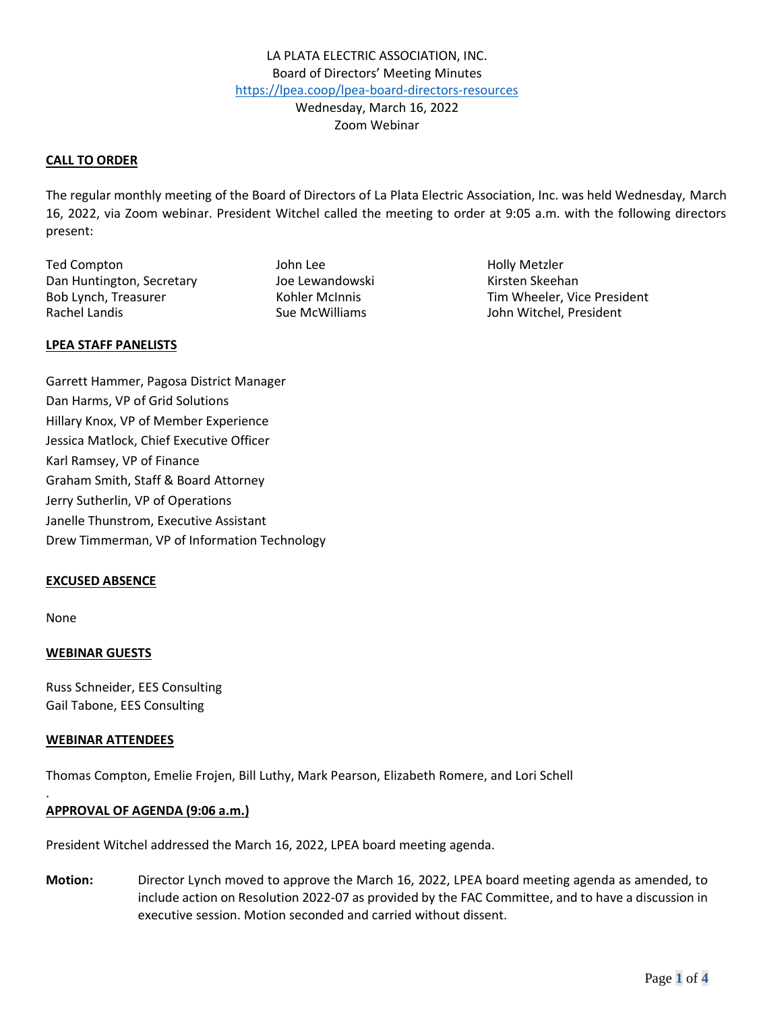### **CALL TO ORDER**

The regular monthly meeting of the Board of Directors of La Plata Electric Association, Inc. was held Wednesday, March 16, 2022, via Zoom webinar. President Witchel called the meeting to order at 9:05 a.m. with the following directors present:

Ted Compton Ted Compton Ted Compton Ted Compton Ted Compton Ted Compton Ted Compton Ted Compton Ted Compton Te Dan Huntington, Secretary **Manual School** Joe Lewandowski Kirsten Skeehan Rachel Landis **Sue McWilliams** Sue McWilliams John Witchel, President

Bob Lynch, Treasurer Tim Wheeler, Vice President

#### **LPEA STAFF PANELISTS**

Garrett Hammer, Pagosa District Manager Dan Harms, VP of Grid Solutions Hillary Knox, VP of Member Experience Jessica Matlock, Chief Executive Officer Karl Ramsey, VP of Finance Graham Smith, Staff & Board Attorney Jerry Sutherlin, VP of Operations Janelle Thunstrom, Executive Assistant Drew Timmerman, VP of Information Technology

#### **EXCUSED ABSENCE**

None

.

# **WEBINAR GUESTS**

Russ Schneider, EES Consulting Gail Tabone, EES Consulting

#### **WEBINAR ATTENDEES**

Thomas Compton, Emelie Frojen, Bill Luthy, Mark Pearson, Elizabeth Romere, and Lori Schell

# **APPROVAL OF AGENDA (9:06 a.m.)**

President Witchel addressed the March 16, 2022, LPEA board meeting agenda.

**Motion:** Director Lynch moved to approve the March 16, 2022, LPEA board meeting agenda as amended, to include action on Resolution 2022-07 as provided by the FAC Committee, and to have a discussion in executive session. Motion seconded and carried without dissent.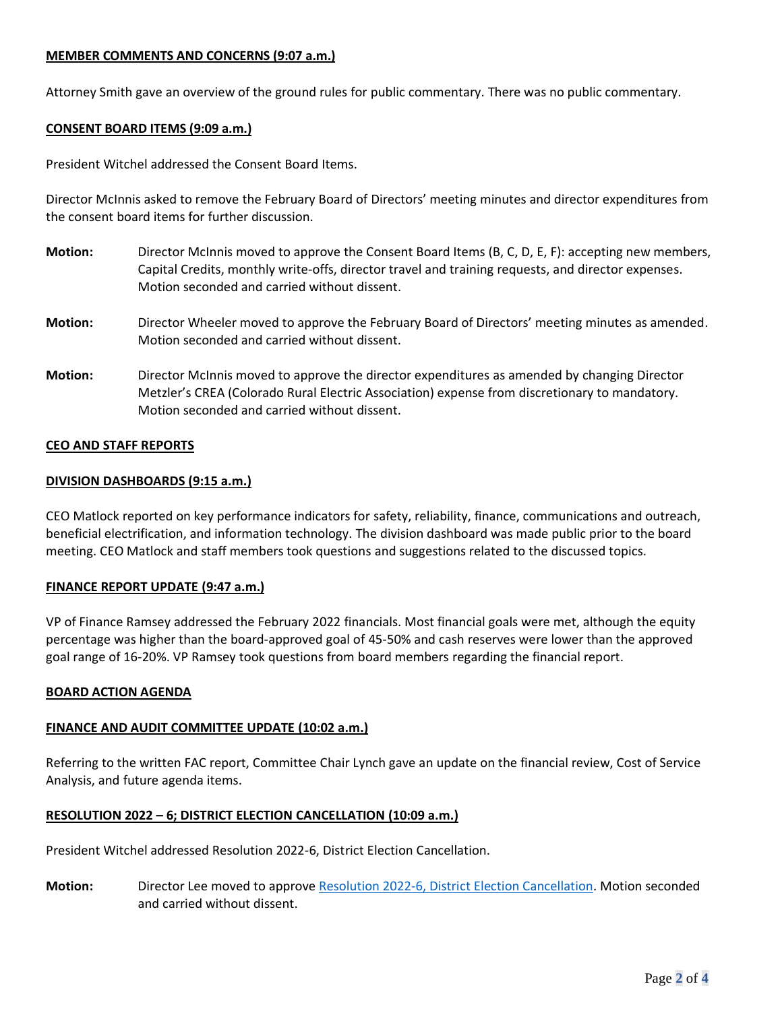# **MEMBER COMMENTS AND CONCERNS (9:07 a.m.)**

Attorney Smith gave an overview of the ground rules for public commentary. There was no public commentary.

### **CONSENT BOARD ITEMS (9:09 a.m.)**

President Witchel addressed the Consent Board Items.

Director McInnis asked to remove the February Board of Directors' meeting minutes and director expenditures from the consent board items for further discussion.

- **Motion:** Director McInnis moved to approve the Consent Board Items (B, C, D, E, F): accepting new members, Capital Credits, monthly write-offs, director travel and training requests, and director expenses. Motion seconded and carried without dissent.
- **Motion:** Director Wheeler moved to approve the February Board of Directors' meeting minutes as amended. Motion seconded and carried without dissent.
- **Motion:** Director McInnis moved to approve the director expenditures as amended by changing Director Metzler's CREA (Colorado Rural Electric Association) expense from discretionary to mandatory. Motion seconded and carried without dissent.

### **CEO AND STAFF REPORTS**

### **DIVISION DASHBOARDS (9:15 a.m.)**

CEO Matlock reported on key performance indicators for safety, reliability, finance, communications and outreach, beneficial electrification, and information technology. The division dashboard was made public prior to the board meeting. CEO Matlock and staff members took questions and suggestions related to the discussed topics.

# **FINANCE REPORT UPDATE (9:47 a.m.)**

VP of Finance Ramsey addressed the February 2022 financials. Most financial goals were met, although the equity percentage was higher than the board-approved goal of 45-50% and cash reserves were lower than the approved goal range of 16-20%. VP Ramsey took questions from board members regarding the financial report.

#### **BOARD ACTION AGENDA**

#### **FINANCE AND AUDIT COMMITTEE UPDATE (10:02 a.m.)**

Referring to the written FAC report, Committee Chair Lynch gave an update on the financial review, Cost of Service Analysis, and future agenda items.

# **RESOLUTION 2022 – 6; DISTRICT ELECTION CANCELLATION (10:09 a.m.)**

President Witchel addressed Resolution 2022-6, District Election Cancellation.

**Motion:** Director Lee moved to approve [Resolution 2022-6, District Election Cancellation.](https://lpea.coop/sites/default/files/2022-03/RESOLUTION%202022-06%3B%20District%20Election%20Cancellation.pdf) Motion seconded and carried without dissent.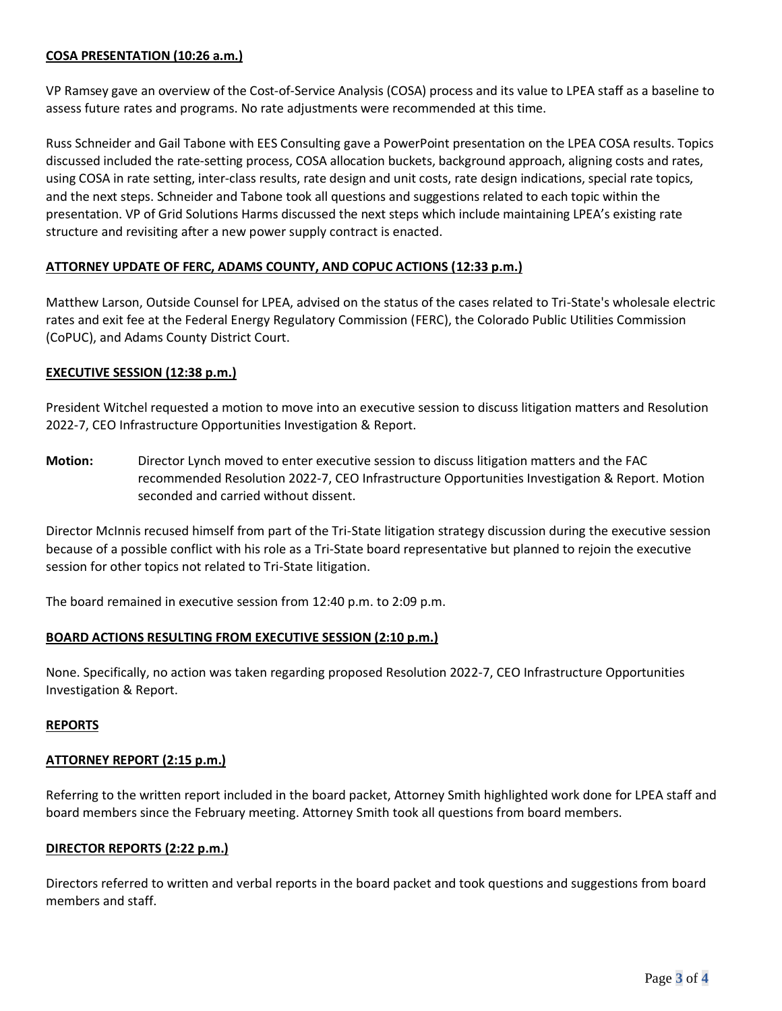# **COSA PRESENTATION (10:26 a.m.)**

VP Ramsey gave an overview of the Cost-of-Service Analysis (COSA) process and its value to LPEA staff as a baseline to assess future rates and programs. No rate adjustments were recommended at this time.

Russ Schneider and Gail Tabone with EES Consulting gave a PowerPoint presentation on the LPEA COSA results. Topics discussed included the rate-setting process, COSA allocation buckets, background approach, aligning costs and rates, using COSA in rate setting, inter-class results, rate design and unit costs, rate design indications, special rate topics, and the next steps. Schneider and Tabone took all questions and suggestions related to each topic within the presentation. VP of Grid Solutions Harms discussed the next steps which include maintaining LPEA's existing rate structure and revisiting after a new power supply contract is enacted.

# **ATTORNEY UPDATE OF FERC, ADAMS COUNTY, AND COPUC ACTIONS (12:33 p.m.)**

Matthew Larson, Outside Counsel for LPEA, advised on the status of the cases related to Tri-State's wholesale electric rates and exit fee at the Federal Energy Regulatory Commission (FERC), the Colorado Public Utilities Commission (CoPUC), and Adams County District Court.

### **EXECUTIVE SESSION (12:38 p.m.)**

President Witchel requested a motion to move into an executive session to discuss litigation matters and Resolution 2022-7, CEO Infrastructure Opportunities Investigation & Report.

**Motion:** Director Lynch moved to enter executive session to discuss litigation matters and the FAC recommended Resolution 2022-7, CEO Infrastructure Opportunities Investigation & Report. Motion seconded and carried without dissent.

Director McInnis recused himself from part of the Tri-State litigation strategy discussion during the executive session because of a possible conflict with his role as a Tri-State board representative but planned to rejoin the executive session for other topics not related to Tri-State litigation.

The board remained in executive session from 12:40 p.m. to 2:09 p.m.

#### **BOARD ACTIONS RESULTING FROM EXECUTIVE SESSION (2:10 p.m.)**

None. Specifically, no action was taken regarding proposed Resolution 2022-7, CEO Infrastructure Opportunities Investigation & Report.

#### **REPORTS**

#### **ATTORNEY REPORT (2:15 p.m.)**

Referring to the written report included in the board packet, Attorney Smith highlighted work done for LPEA staff and board members since the February meeting. Attorney Smith took all questions from board members.

#### **DIRECTOR REPORTS (2:22 p.m.)**

Directors referred to written and verbal reports in the board packet and took questions and suggestions from board members and staff.